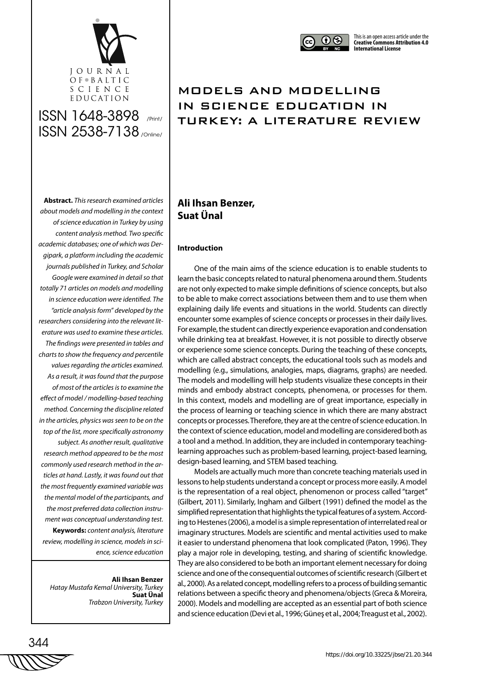

# ISSN 1648-3898 /Print/ ISSN 2538-7138 /Online/

 $\bigcirc$ 

# MODELS AND MODELLING IN SCIENCE EDUCATION IN TURKEY: A LITERATURE REVIEW

### **Abstract.** *This research examined articles about models and modelling in the context of science education in Turkey by using content analysis method. Two specific academic databases; one of which was Dergipark, a platform including the academic journals published in Turkey, and Scholar Google were examined in detail so that totally 71 articles on models and modelling in science education were identified. The "article analysis form" developed by the researchers considering into the relevant literature was used to examine these articles. The findings were presented in tables and charts to show the frequency and percentile values regarding the articles examined. As a result, it was found that the purpose of most of the articles is to examine the effect of model / modelling-based teaching method. Concerning the discipline related in the articles, physics was seen to be on the top of the list, more specifically astronomy subject. As another result, qualitative research method appeared to be the most commonly used research method in the articles at hand. Lastly, it was found out that the most frequently examined variable was the mental model of the participants, and the most preferred data collection instrument was conceptual understanding test.*  **Keywords:** *content analysis, literature review, modelling in science, models in science, science education*

**Ali Ihsan Benzer** *Hatay Mustafa Kemal University, Turkey* **Suat Ünal** *Trabzon University, Turkey*

### **Ali Ihsan Benzer, Suat Ünal**

#### **Introduction**

One of the main aims of the science education is to enable students to learn the basic concepts related to natural phenomena around them. Students are not only expected to make simple definitions of science concepts, but also to be able to make correct associations between them and to use them when explaining daily life events and situations in the world. Students can directly encounter some examples of science concepts or processes in their daily lives. For example, the student can directly experience evaporation and condensation while drinking tea at breakfast. However, it is not possible to directly observe or experience some science concepts. During the teaching of these concepts, which are called abstract concepts, the educational tools such as models and modelling (e.g., simulations, analogies, maps, diagrams, graphs) are needed. The models and modelling will help students visualize these concepts in their minds and embody abstract concepts, phenomena, or processes for them. In this context, models and modelling are of great importance, especially in the process of learning or teaching science in which there are many abstract concepts or processes. Therefore, they are at the centre of science education. In the context of science education, model and modelling are considered both as a tool and a method. In addition, they are included in contemporary teachinglearning approaches such as problem-based learning, project-based learning, design-based learning, and STEM based teaching.

Models are actually much more than concrete teaching materials used in lessons to help students understand a concept or process more easily. A model is the representation of a real object, phenomenon or process called "target" (Gilbert, 2011). Similarly, Ingham and Gilbert (1991) defined the model as the simplified representation that highlights the typical features of a system. According to Hestenes (2006), a model is a simple representation of interrelated real or imaginary structures. Models are scientific and mental activities used to make it easier to understand phenomena that look complicated (Paton, 1996). They play a major role in developing, testing, and sharing of scientific knowledge. They are also considered to be both an important element necessary for doing science and one of the consequential outcomes of scientific research (Gilbert et al., 2000). As a related concept, modelling refers to a process of building semantic relations between a specific theory and phenomena/objects (Greca & Moreira, 2000). Models and modelling are accepted as an essential part of both science and science education (Devi et al., 1996; Güneş et al., 2004; Treagust et al., 2002).

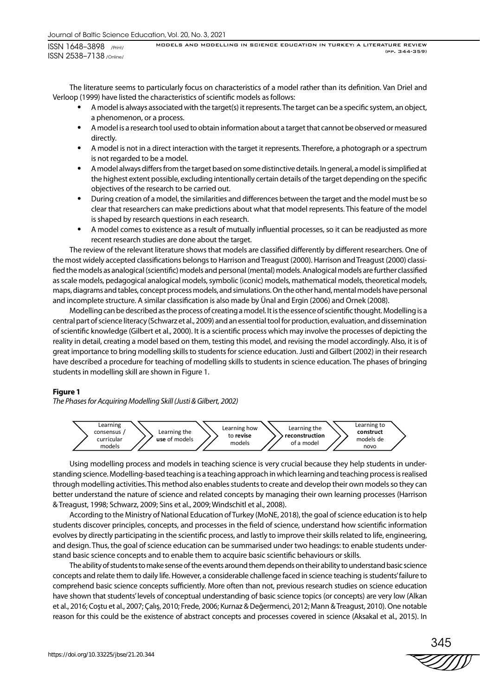The literature seems to particularly focus on characteristics of a model rather than its definition. Van Driel and Verloop (1999) have listed the characteristics of scientific models as follows:

- A model is always associated with the target(s) it represents. The target can be a specific system, an object, a phenomenon, or a process.
- A model is a research tool used to obtain information about a target that cannot be observed or measured directly.
- A model is not in a direct interaction with the target it represents. Therefore, a photograph or a spectrum is not regarded to be a model.
- A model always differs from the target based on some distinctive details. In general, a model is simplified at the highest extent possible, excluding intentionally certain details of the target depending on the specific objectives of the research to be carried out.
- During creation of a model, the similarities and differences between the target and the model must be so clear that researchers can make predictions about what that model represents. This feature of the model is shaped by research questions in each research.
- A model comes to existence as a result of mutually influential processes, so it can be readjusted as more recent research studies are done about the target.

The review of the relevant literature shows that models are classified differently by different researchers. One of the most widely accepted classifications belongs to Harrison and Treagust (2000). Harrison and Treagust (2000) classified the models as analogical (scientific) models and personal (mental) models. Analogical models are further classified as scale models, pedagogical analogical models, symbolic (iconic) models, mathematical models, theoretical models, maps, diagrams and tables, concept process models, and simulations. On the other hand, mental models have personal and incomplete structure. A similar classification is also made by Ünal and Ergin (2006) and Ornek (2008).

Modelling can be described as the process of creating a model. It is the essence of scientific thought. Modelling is a central part of science literacy (Schwarz et al., 2009) and an essential tool for production, evaluation, and dissemination of scientific knowledge (Gilbert et al., 2000). It is a scientific process which may involve the processes of depicting the reality in detail, creating a model based on them, testing this model, and revising the model accordingly. Also, it is of great importance to bring modelling skills to students for science education. Justi and Gilbert (2002) in their research have described a procedure for teaching of modelling skills to students in science education. The phases of bringing students in modelling skill are shown in Figure 1.

#### **Figure 1**

*The Phases for Acquiring Modelling Skill (Justi & Gilbert, 2002)*



Using modelling process and models in teaching science is very crucial because they help students in understanding science. Modelling-based teaching is a teaching approach in which learning and teaching process is realised through modelling activities. This method also enables students to create and develop their own models so they can better understand the nature of science and related concepts by managing their own learning processes (Harrison & Treagust, 1998; Schwarz, 2009; Sins et al., 2009; Windschitl et al., 2008).

According to the Ministry of National Education of Turkey (MoNE, 2018), the goal of science education is to help students discover principles, concepts, and processes in the field of science, understand how scientific information evolves by directly participating in the scientific process, and lastly to improve their skills related to life, engineering, and design. Thus, the goal of science education can be summarised under two headings: to enable students understand basic science concepts and to enable them to acquire basic scientific behaviours or skills.

The ability of students to make sense of the events around them depends on their ability to understand basic science concepts and relate them to daily life. However, a considerable challenge faced in science teaching is students' failure to comprehend basic science concepts sufficiently. More often than not, previous research studies on science education have shown that students' levels of conceptual understanding of basic science topics (or concepts) are very low (Alkan et al., 2016; Coştu et al., 2007; Çalış, 2010; Frede, 2006; Kurnaz & Değermenci, 2012; Mann & Treagust, 2010). One notable reason for this could be the existence of abstract concepts and processes covered in science (Aksakal et al., 2015). In

345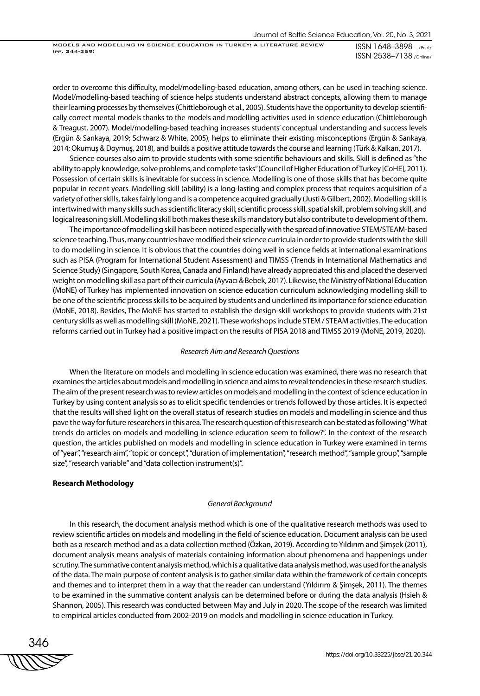MODELS AND MODELLING IN SCIENCE EDUCATION IN TURKEY: A LITERATURE REVIEW (pp. 344-359)

ISSN 1648–3898 /Print/ ISSN 2538–7138 /Online/

order to overcome this difficulty, model/modelling-based education, among others, can be used in teaching science. Model/modelling-based teaching of science helps students understand abstract concepts, allowing them to manage their learning processes by themselves (Chittleborough et al., 2005). Students have the opportunity to develop scientifically correct mental models thanks to the models and modelling activities used in science education (Chittleborough & Treagust, 2007). Model/modelling-based teaching increases students' conceptual understanding and success levels (Ergün & Sarıkaya, 2019; Schwarz & White, 2005), helps to eliminate their existing misconceptions (Ergün & Sarıkaya, 2014; Okumuş & Doymuş, 2018), and builds a positive attitude towards the course and learning (Türk & Kalkan, 2017).

Science courses also aim to provide students with some scientific behaviours and skills. Skill is defined as "the ability to apply knowledge, solve problems, and complete tasks" (Council of Higher Education of Turkey [CoHE], 2011). Possession of certain skills is inevitable for success in science. Modelling is one of those skills that has become quite popular in recent years. Modelling skill (ability) is a long-lasting and complex process that requires acquisition of a variety of other skills, takes fairly long and is a competence acquired gradually (Justi & Gilbert, 2002). Modelling skill is intertwined with many skills such as scientific literacy skill, scientific process skill, spatial skill, problem solving skill, and logical reasoning skill. Modelling skill both makes these skills mandatory but also contribute to development of them.

The importance of modelling skill has been noticed especially with the spread of innovative STEM/STEAM-based science teaching. Thus, many countries have modified their science curricula in order to provide students with the skill to do modelling in science. It is obvious that the countries doing well in science fields at international examinations such as PISA (Program for International Student Assessment) and TIMSS (Trends in International Mathematics and Science Study) (Singapore, South Korea, Canada and Finland) have already appreciated this and placed the deserved weight on modelling skill as a part of their curricula (Ayvacı & Bebek, 2017). Likewise, the Ministry of National Education (MoNE) of Turkey has implemented innovation on science education curriculum acknowledging modelling skill to be one of the scientific process skills to be acquired by students and underlined its importance for science education (MoNE, 2018). Besides, The MoNE has started to establish the design-skill workshops to provide students with 21st century skills as well as modelling skill (MoNE, 2021). These workshops include STEM / STEAM activities. The education reforms carried out in Turkey had a positive impact on the results of PISA 2018 and TIMSS 2019 (MoNE, 2019, 2020).

#### *Research Aim and Research Questions*

When the literature on models and modelling in science education was examined, there was no research that examines the articles about models and modelling in science and aims to reveal tendencies in these research studies. The aim of the present research was to review articles on models and modelling in the context of science education in Turkey by using content analysis so as to elicit specific tendencies or trends followed by those articles. It is expected that the results will shed light on the overall status of research studies on models and modelling in science and thus pave the way for future researchers in this area. The research question of this research can be stated as following "What trends do articles on models and modelling in science education seem to follow?". In the context of the research question, the articles published on models and modelling in science education in Turkey were examined in terms of "year", "research aim", "topic or concept", "duration of implementation", "research method", "sample group", "sample size", "research variable" and "data collection instrument(s)".

#### **Research Methodology**

#### *General Background*

In this research, the document analysis method which is one of the qualitative research methods was used to review scientific articles on models and modelling in the field of science education. Document analysis can be used both as a research method and as a data collection method (Özkan, 2019). According to Yıldırım and Şimşek (2011), document analysis means analysis of materials containing information about phenomena and happenings under scrutiny. The summative content analysis method, which is a qualitative data analysis method, was used for the analysis of the data. The main purpose of content analysis is to gather similar data within the framework of certain concepts and themes and to interpret them in a way that the reader can understand (Yıldırım & Şimşek, 2011). The themes to be examined in the summative content analysis can be determined before or during the data analysis (Hsieh & Shannon, 2005). This research was conducted between May and July in 2020. The scope of the research was limited to empirical articles conducted from 2002-2019 on models and modelling in science education in Turkey.

346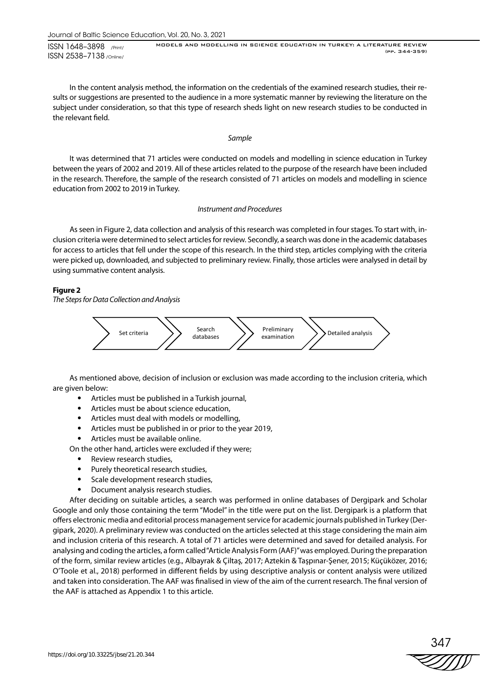ISSN 1648–3898 /Print/ ISSN 2538–7138 /Online/

MODELS AND MODELLING IN SCIENCE EDUCATION IN TURKEY: A LITERATURE REVIEW (pp. 344-359)

In the content analysis method, the information on the credentials of the examined research studies, their results or suggestions are presented to the audience in a more systematic manner by reviewing the literature on the subject under consideration, so that this type of research sheds light on new research studies to be conducted in the relevant field.

#### *Sample*

It was determined that 71 articles were conducted on models and modelling in science education in Turkey between the years of 2002 and 2019. All of these articles related to the purpose of the research have been included in the research. Therefore, the sample of the research consisted of 71 articles on models and modelling in science education from 2002 to 2019 in Turkey.

#### *Instrument and Procedures*

As seen in Figure 2, data collection and analysis of this research was completed in four stages. To start with, inclusion criteria were determined to select articles for review. Secondly, a search was done in the academic databases for access to articles that fell under the scope of this research. In the third step, articles complying with the criteria were picked up, downloaded, and subjected to preliminary review. Finally, those articles were analysed in detail by using summative content analysis.

#### **Figure 2**

*The Steps for Data Collection and Analysis*



As mentioned above, decision of inclusion or exclusion was made according to the inclusion criteria, which are given below:

- Articles must be published in a Turkish journal,
- Articles must be about science education,
- Articles must deal with models or modelling,
- Articles must be published in or prior to the year 2019,
- Articles must be available online.

On the other hand, articles were excluded if they were;

- Review research studies,
- Purely theoretical research studies,
- Scale development research studies,
- Document analysis research studies.

After deciding on suitable articles, a search was performed in online databases of Dergipark and Scholar Google and only those containing the term "Model" in the title were put on the list. Dergipark is a platform that offers electronic media and editorial process management service for academic journals published in Turkey (Dergipark, 2020). A preliminary review was conducted on the articles selected at this stage considering the main aim and inclusion criteria of this research. A total of 71 articles were determined and saved for detailed analysis. For analysing and coding the articles, a form called "Article Analysis Form (AAF)" was employed. During the preparation of the form, similar review articles (e.g., Albayrak & Çiltaş, 2017; Aztekin & Taşpınar-Şener, 2015; Küçüközer, 2016; O'Toole et al., 2018) performed in different fields by using descriptive analysis or content analysis were utilized and taken into consideration. The AAF was finalised in view of the aim of the current research. The final version of the AAF is attached as Appendix 1 to this article.

347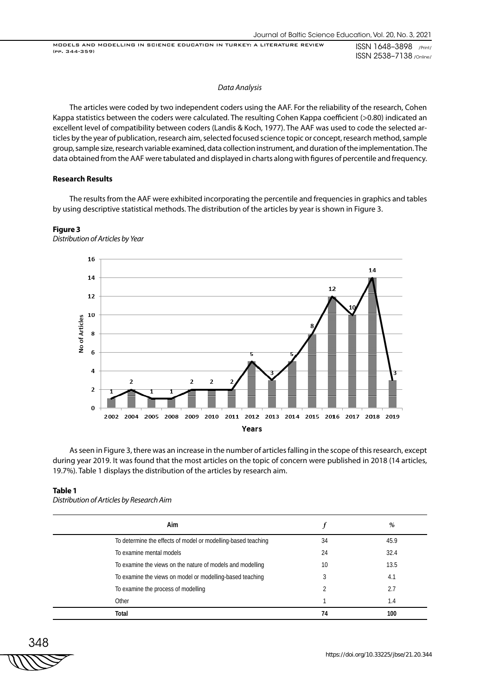MODELS AND MODELLING IN SCIENCE EDUCATION IN TURKEY: A LITERATURE REVIEW (pp. 344-359)

ISSN 1648–3898 /Print/ ISSN 2538–7138 /Online/

#### *Data Analysis*

The articles were coded by two independent coders using the AAF. For the reliability of the research, Cohen Kappa statistics between the coders were calculated. The resulting Cohen Kappa coefficient (>0.80) indicated an excellent level of compatibility between coders (Landis & Koch, 1977). The AAF was used to code the selected articles by the year of publication, research aim, selected focused science topic or concept, research method, sample group, sample size, research variable examined, data collection instrument, and duration of the implementation. The data obtained from the AAF were tabulated and displayed in charts along with figures of percentile and frequency.

#### **Research Results**

The results from the AAF were exhibited incorporating the percentile and frequencies in graphics and tables by using descriptive statistical methods. The distribution of the articles by year is shown in Figure 3.

## **Figure 3**



*Distribution of Articles by Year*

As seen in Figure 3, there was an increase in the number of articles falling in the scope of this research, except during year 2019. It was found that the most articles on the topic of concern were published in 2018 (14 articles, 19.7%). Table 1 displays the distribution of the articles by research aim.

#### **Table 1**

*Distribution of Articles by Research Aim*

| Aim                                                           |    | %    |
|---------------------------------------------------------------|----|------|
| To determine the effects of model or modelling-based teaching | 34 | 45.9 |
| To examine mental models                                      | 24 | 32.4 |
| To examine the views on the nature of models and modelling    | 10 | 13.5 |
| To examine the views on model or modelling-based teaching     |    | 4.1  |
| To examine the process of modelling                           |    | 2.7  |
| Other                                                         |    | 1.4  |
| Total                                                         | 74 | 100  |

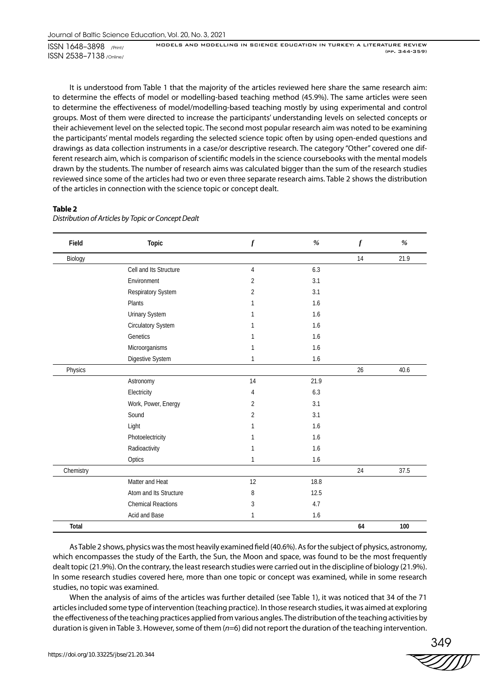It is understood from Table 1 that the majority of the articles reviewed here share the same research aim: to determine the effects of model or modelling-based teaching method (45.9%). The same articles were seen to determine the effectiveness of model/modelling-based teaching mostly by using experimental and control groups. Most of them were directed to increase the participants' understanding levels on selected concepts or their achievement level on the selected topic. The second most popular research aim was noted to be examining the participants' mental models regarding the selected science topic often by using open-ended questions and drawings as data collection instruments in a case/or descriptive research. The category "Other" covered one different research aim, which is comparison of scientific models in the science coursebooks with the mental models drawn by the students. The number of research aims was calculated bigger than the sum of the research studies reviewed since some of the articles had two or even three separate research aims. Table 2 shows the distribution of the articles in connection with the science topic or concept dealt.

#### **Table 2**

| Field     | Topic                     | $\boldsymbol{f}$ | $\%$    | $\boldsymbol{f}$ | $\%$ |
|-----------|---------------------------|------------------|---------|------------------|------|
| Biology   |                           |                  |         | 14               | 21.9 |
|           | Cell and Its Structure    | 4                | 6.3     |                  |      |
|           | Environment               | $\overline{2}$   | 3.1     |                  |      |
|           | Respiratory System        | 2                | 3.1     |                  |      |
|           | Plants                    | 1                | 1.6     |                  |      |
|           | Urinary System            | 1                | 1.6     |                  |      |
|           | Circulatory System        | 1                | 1.6     |                  |      |
|           | Genetics                  | 1                | 1.6     |                  |      |
|           | Microorganisms            | 1                | 1.6     |                  |      |
|           | Digestive System          | 1                | $1.6\,$ |                  |      |
| Physics   |                           |                  |         | 26               | 40.6 |
|           | Astronomy                 | 14               | 21.9    |                  |      |
|           | Electricity               | 4                | 6.3     |                  |      |
|           | Work, Power, Energy       | $\overline{2}$   | 3.1     |                  |      |
|           | Sound                     | $\overline{2}$   | 3.1     |                  |      |
|           | Light                     | 1                | 1.6     |                  |      |
|           | Photoelectricity          | 1                | 1.6     |                  |      |
|           | Radioactivity             | 1                | 1.6     |                  |      |
|           | Optics                    | $\mathbf{1}$     | 1.6     |                  |      |
| Chemistry |                           |                  |         | 24               | 37.5 |
|           | Matter and Heat           | 12               | 18.8    |                  |      |
|           | Atom and Its Structure    | 8                | 12.5    |                  |      |
|           | <b>Chemical Reactions</b> | 3                | 4.7     |                  |      |
|           | Acid and Base             | 1                | 1.6     |                  |      |
| Total     |                           |                  |         | 64               | 100  |

*Distribution of Articles by Topic or Concept Dealt*

As Table 2 shows, physics was the most heavily examined field (40.6%). As for the subject of physics, astronomy, which encompasses the study of the Earth, the Sun, the Moon and space, was found to be the most frequently dealt topic (21.9%). On the contrary, the least research studies were carried out in the discipline of biology (21.9%). In some research studies covered here, more than one topic or concept was examined, while in some research studies, no topic was examined.

When the analysis of aims of the articles was further detailed (see Table 1), it was noticed that 34 of the 71 articles included some type of intervention (teaching practice). In those research studies, it was aimed at exploring the effectiveness of the teaching practices applied from various angles. The distribution of the teaching activities by duration is given in Table 3. However, some of them (*n*=6) did not report the duration of the teaching intervention.

349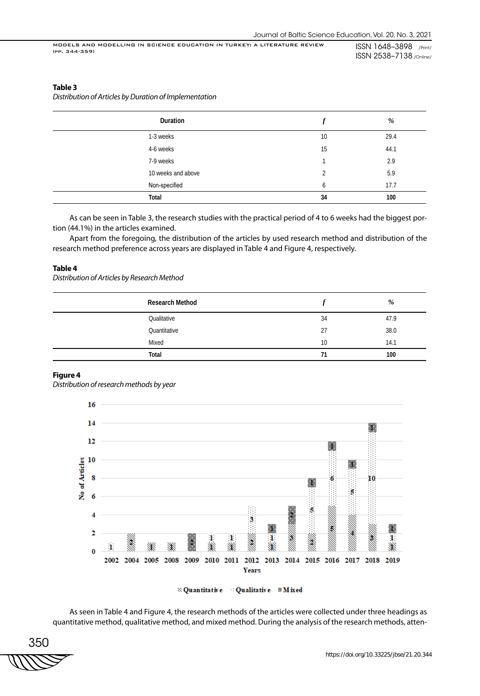#### **Table 3**

*Distribution of Articles by Duration of Implementation*

| Duration           |    | %    |
|--------------------|----|------|
| 1-3 weeks          | 10 | 29.4 |
| 4-6 weeks          | 15 | 44.1 |
| 7-9 weeks          |    | 2.9  |
| 10 weeks and above | 2  | 5.9  |
| Non-specified      | 6  | 17.7 |
| Total              | 34 | 100  |

As can be seen in Table 3, the research studies with the practical period of 4 to 6 weeks had the biggest portion (44.1%) in the articles examined.

Apart from the foregoing, the distribution of the articles by used research method and distribution of the research method preference across years are displayed in Table 4 and Figure 4, respectively.

#### **Table 4**

*Distribution of Articles by Research Method*

| <b>Research Method</b> |    | %    |
|------------------------|----|------|
| Qualitative            | 34 | 47.9 |
| Quantitative           | 27 | 38.0 |
| Mixed                  | 10 | 14.1 |
| Total                  | 71 | 100  |

#### **Figure 4**

*Distribution of research methods by year*



**No. 2** Quantitative **Mixed** 

As seen in Table 4 and Figure 4, the research methods of the articles were collected under three headings as quantitative method, qualitative method, and mixed method. During the analysis of the research methods, atten-

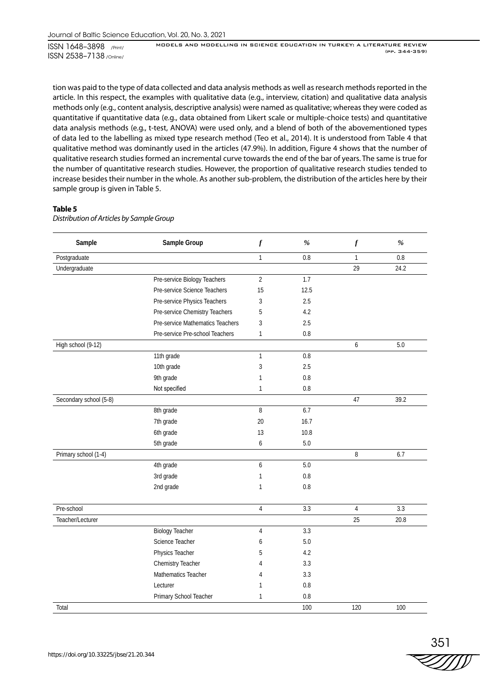tion was paid to the type of data collected and data analysis methods as well as research methods reported in the article. In this respect, the examples with qualitative data (e.g., interview, citation) and qualitative data analysis methods only (e.g., content analysis, descriptive analysis) were named as qualitative; whereas they were coded as quantitative if quantitative data (e.g., data obtained from Likert scale or multiple-choice tests) and quantitative data analysis methods (e.g., t-test, ANOVA) were used only, and a blend of both of the abovementioned types of data led to the labelling as mixed type research method (Teo et al., 2014). It is understood from Table 4 that qualitative method was dominantly used in the articles (47.9%). In addition, Figure 4 shows that the number of qualitative research studies formed an incremental curve towards the end of the bar of years. The same is true for the number of quantitative research studies. However, the proportion of qualitative research studies tended to increase besides their number in the whole. As another sub-problem, the distribution of the articles here by their sample group is given in Table 5.

#### **Table 5**

*Distribution of Articles by Sample Group*

| Sample                 | Sample Group                     | $\boldsymbol{f}$ | $\%$    | $\boldsymbol{f}$ | $\%$ |
|------------------------|----------------------------------|------------------|---------|------------------|------|
| Postgraduate           |                                  | $\mathbf{1}$     | 0.8     | $\mathbf{1}$     | 0.8  |
| Undergraduate          |                                  |                  |         | 29               | 24.2 |
|                        | Pre-service Biology Teachers     | $\overline{2}$   | 1.7     |                  |      |
|                        | Pre-service Science Teachers     | 15               | 12.5    |                  |      |
|                        | Pre-service Physics Teachers     | 3                | 2.5     |                  |      |
|                        | Pre-service Chemistry Teachers   | 5                | 4.2     |                  |      |
|                        | Pre-service Mathematics Teachers | 3                | 2.5     |                  |      |
|                        | Pre-service Pre-school Teachers  | $\mathbf{1}$     | $0.8\,$ |                  |      |
| High school (9-12)     |                                  |                  |         | 6                | 5.0  |
|                        | 11th grade                       | $\mathbf{1}$     | 0.8     |                  |      |
|                        | 10th grade                       | 3                | 2.5     |                  |      |
|                        | 9th grade                        | $\mathbf{1}$     | 0.8     |                  |      |
|                        | Not specified                    | $\mathbf{1}$     | 0.8     |                  |      |
| Secondary school (5-8) |                                  |                  |         | 47               | 39.2 |
|                        | 8th grade                        | 8                | 6.7     |                  |      |
|                        | 7th grade                        | 20               | 16.7    |                  |      |
|                        | 6th grade                        | 13               | 10.8    |                  |      |
|                        | 5th grade                        | 6                | 5.0     |                  |      |
| Primary school (1-4)   |                                  |                  |         | 8                | 6.7  |
|                        | 4th grade                        | 6                | 5.0     |                  |      |
|                        | 3rd grade                        | 1                | 0.8     |                  |      |
|                        | 2nd grade                        | $\mathbf{1}$     | 0.8     |                  |      |
| Pre-school             |                                  | $\overline{4}$   | 3.3     | $\overline{4}$   | 3.3  |
| Teacher/Lecturer       |                                  |                  |         | 25               | 20.8 |
|                        | <b>Biology Teacher</b>           | $\overline{4}$   | 3.3     |                  |      |
|                        | Science Teacher                  | 6                | 5.0     |                  |      |
|                        | Physics Teacher                  | 5                | 4.2     |                  |      |
|                        | Chemistry Teacher                | 4                | 3.3     |                  |      |
|                        | Mathematics Teacher              | 4                | 3.3     |                  |      |
|                        | Lecturer                         | 1                | 0.8     |                  |      |
|                        | Primary School Teacher           | $\mathbf{1}$     | 0.8     |                  |      |
| Total                  |                                  |                  | 100     | 120              | 100  |

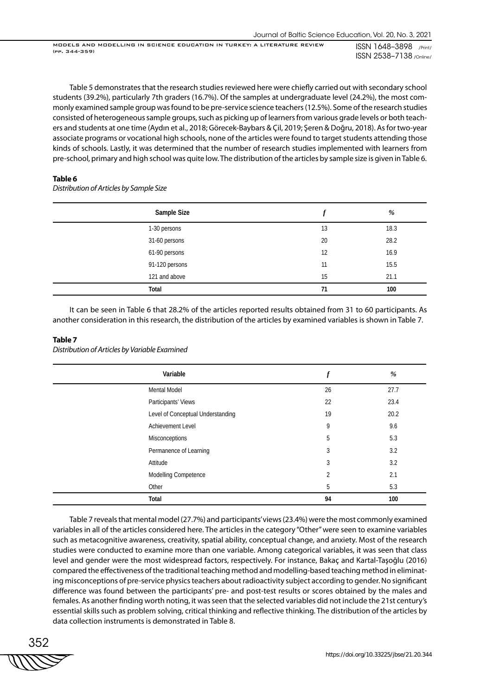Table 5 demonstrates that the research studies reviewed here were chiefly carried out with secondary school students (39.2%), particularly 7th graders (16.7%). Of the samples at undergraduate level (24.2%), the most commonly examined sample group was found to be pre-service science teachers (12.5%). Some of the research studies consisted of heterogeneous sample groups, such as picking up of learners from various grade levels or both teachers and students at one time (Aydın et al., 2018; Görecek-Baybars & Çil, 2019; Şeren & Doğru, 2018). As for two-year associate programs or vocational high schools, none of the articles were found to target students attending those kinds of schools. Lastly, it was determined that the number of research studies implemented with learners from pre-school, primary and high school was quite low. The distribution of the articles by sample size is given in Table 6.

#### **Table 6**

*Distribution of Articles by Sample Size*

| Sample Size    |    | %    |
|----------------|----|------|
| 1-30 persons   | 13 | 18.3 |
| 31-60 persons  | 20 | 28.2 |
| 61-90 persons  | 12 | 16.9 |
| 91-120 persons | 11 | 15.5 |
| 121 and above  | 15 | 21.1 |
| Total          | 71 | 100  |

It can be seen in Table 6 that 28.2% of the articles reported results obtained from 31 to 60 participants. As another consideration in this research, the distribution of the articles by examined variables is shown in Table 7.

#### **Table 7**

*Distribution of Articles by Variable Examined*

| Variable                          | $\boldsymbol{f}$ | %    |
|-----------------------------------|------------------|------|
| <b>Mental Model</b>               | 26               | 27.7 |
| Participants' Views               | 22               | 23.4 |
| Level of Conceptual Understanding | 19               | 20.2 |
| <b>Achievement Level</b>          | 9                | 9.6  |
| Misconceptions                    | 5                | 5.3  |
| Permanence of Learning            | 3                | 3.2  |
| Attitude                          | 3                | 3.2  |
| Modelling Competence              | $\overline{2}$   | 2.1  |
| Other                             | 5                | 5.3  |
| Total                             | 94               | 100  |

Table 7 reveals that mental model (27.7%) and participants' views (23.4%) were the most commonly examined variables in all of the articles considered here. The articles in the category "Other" were seen to examine variables such as metacognitive awareness, creativity, spatial ability, conceptual change, and anxiety. Most of the research studies were conducted to examine more than one variable. Among categorical variables, it was seen that class level and gender were the most widespread factors, respectively. For instance, Bakaç and Kartal-Taşoğlu (2016) compared the effectiveness of the traditional teaching method and modelling-based teaching method in eliminating misconceptions of pre-service physics teachers about radioactivity subject according to gender. No significant difference was found between the participants' pre- and post-test results or scores obtained by the males and females. As another finding worth noting, it was seen that the selected variables did not include the 21st century's essential skills such as problem solving, critical thinking and reflective thinking. The distribution of the articles by data collection instruments is demonstrated in Table 8.

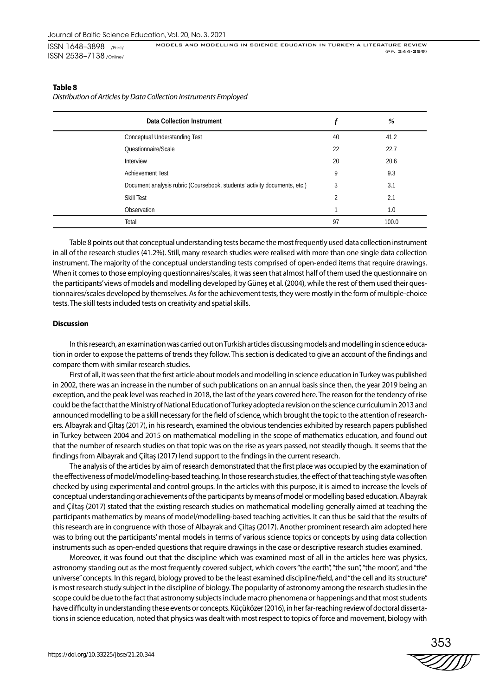#### **Table 8**

*Distribution of Articles by Data Collection Instruments Employed*

| Data Collection Instrument                                                |                | %     |
|---------------------------------------------------------------------------|----------------|-------|
| Conceptual Understanding Test                                             | 40             | 41.2  |
| Questionnaire/Scale                                                       | 22             | 22.7  |
| Interview                                                                 | 20             | 20.6  |
| <b>Achievement Test</b>                                                   | 9              | 9.3   |
| Document analysis rubric (Coursebook, students' activity documents, etc.) | 3              | 3.1   |
| Skill Test                                                                | $\mathfrak{D}$ | 2.1   |
| Observation                                                               |                | 1.0   |
| Total                                                                     | 97             | 100.0 |

Table 8 points out that conceptual understanding tests became the most frequently used data collection instrument in all of the research studies (41.2%). Still, many research studies were realised with more than one single data collection instrument. The majority of the conceptual understanding tests comprised of open-ended items that require drawings. When it comes to those employing questionnaires/scales, it was seen that almost half of them used the questionnaire on the participants' views of models and modelling developed by Güneş et al. (2004), while the rest of them used their questionnaires/scales developed by themselves. As for the achievement tests, they were mostly in the form of multiple-choice tests. The skill tests included tests on creativity and spatial skills.

#### **Discussion**

In this research, an examination was carried out on Turkish articles discussing models and modelling in science education in order to expose the patterns of trends they follow. This section is dedicated to give an account of the findings and compare them with similar research studies.

First of all, it was seen that the first article about models and modelling in science education in Turkey was published in 2002, there was an increase in the number of such publications on an annual basis since then, the year 2019 being an exception, and the peak level was reached in 2018, the last of the years covered here. The reason for the tendency of rise could be the fact that the Ministry of National Education of Turkey adopted a revision on the science curriculum in 2013 and announced modelling to be a skill necessary for the field of science, which brought the topic to the attention of researchers. Albayrak and Çiltaş (2017), in his research, examined the obvious tendencies exhibited by research papers published in Turkey between 2004 and 2015 on mathematical modelling in the scope of mathematics education, and found out that the number of research studies on that topic was on the rise as years passed, not steadily though. It seems that the findings from Albayrak and Çiltaş (2017) lend support to the findings in the current research.

The analysis of the articles by aim of research demonstrated that the first place was occupied by the examination of the effectiveness of model/modelling-based teaching. In those research studies, the effect of that teaching style was often checked by using experimental and control groups. In the articles with this purpose, it is aimed to increase the levels of conceptual understanding or achievements of the participants by means of model or modelling based education. Albayrak and Çiltaş (2017) stated that the existing research studies on mathematical modelling generally aimed at teaching the participants mathematics by means of model/modelling-based teaching activities. It can thus be said that the results of this research are in congruence with those of Albayrak and Çiltaş (2017). Another prominent research aim adopted here was to bring out the participants' mental models in terms of various science topics or concepts by using data collection instruments such as open-ended questions that require drawings in the case or descriptive research studies examined.

Moreover, it was found out that the discipline which was examined most of all in the articles here was physics, astronomy standing out as the most frequently covered subject, which covers "the earth", "the sun", "the moon", and "the universe" concepts. In this regard, biology proved to be the least examined discipline/field, and "the cell and its structure" is most research study subject in the discipline of biology. The popularity of astronomy among the research studies in the scope could be due to the fact that astronomy subjects include macro phenomena or happenings and that most students have difficulty in understanding these events or concepts. Küçüközer (2016), in her far-reaching review of doctoral dissertations in science education, noted that physics was dealt with most respect to topics of force and movement, biology with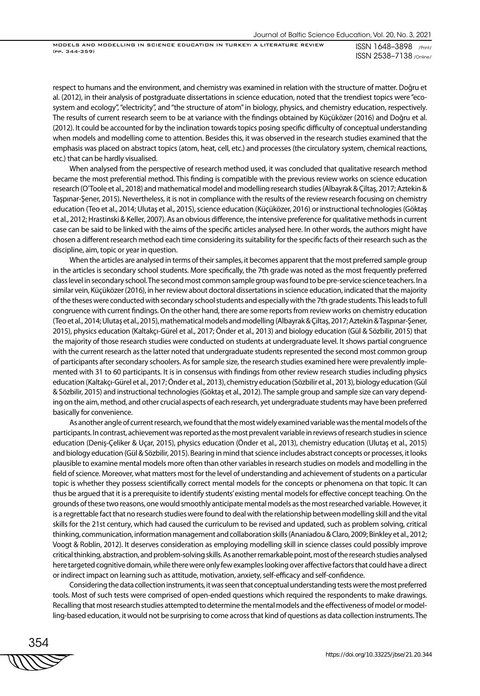MODELS AND MODELLING IN SCIENCE EDUCATION IN TURKEY: A LITERATURE REVIEW (pp. 344-359)

ISSN 1648–3898 /Print/ ISSN 2538–7138 /Online/

respect to humans and the environment, and chemistry was examined in relation with the structure of matter. Doğru et al. (2012), in their analysis of postgraduate dissertations in science education, noted that the trendiest topics were "ecosystem and ecology", "electricity", and "the structure of atom" in biology, physics, and chemistry education, respectively. The results of current research seem to be at variance with the findings obtained by Küçüközer (2016) and Doğru et al. (2012). It could be accounted for by the inclination towards topics posing specific difficulty of conceptual understanding when models and modelling come to attention. Besides this, it was observed in the research studies examined that the emphasis was placed on abstract topics (atom, heat, cell, etc.) and processes (the circulatory system, chemical reactions, etc.) that can be hardly visualised.

When analysed from the perspective of research method used, it was concluded that qualitative research method became the most preferential method. This finding is compatible with the previous review works on science education research (O'Toole et al., 2018) and mathematical model and modelling research studies (Albayrak & Çiltaş, 2017; Aztekin & Taşpınar-Şener, 2015). Nevertheless, it is not in compliance with the results of the review research focusing on chemistry education (Teo et al., 2014; Ulutaş et al., 2015), science education (Küçüközer, 2016) or instructional technologies (Göktaş et al., 2012; Hrastinski & Keller, 2007). As an obvious difference, the intensive preference for qualitative methods in current case can be said to be linked with the aims of the specific articles analysed here. In other words, the authors might have chosen a different research method each time considering its suitability for the specific facts of their research such as the discipline, aim, topic or year in question.

When the articles are analysed in terms of their samples, it becomes apparent that the most preferred sample group in the articles is secondary school students. More specifically, the 7th grade was noted as the most frequently preferred class level in secondary school. The second most common sample group was found to be pre-service science teachers. In a similar vein, Küçüközer (2016), in her review about doctoral dissertations in science education, indicated that the majority of the theses were conducted with secondary school students and especially with the 7th grade students. This leads to full congruence with current findings. On the other hand, there are some reports from review works on chemistry education (Teo et al., 2014; Ulutaş et al., 2015), mathematical models and modelling (Albayrak & Çiltaş, 2017; Aztekin & Taşpınar-Şener, 2015), physics education (Kaltakçı-Gürel et al., 2017; Önder et al., 2013) and biology education (Gül & Sözbilir, 2015) that the majority of those research studies were conducted on students at undergraduate level. It shows partial congruence with the current research as the latter noted that undergraduate students represented the second most common group of participants after secondary schoolers. As for sample size, the research studies examined here were prevalently implemented with 31 to 60 participants. It is in consensus with findings from other review research studies including physics education (Kaltakçı-Gürel et al., 2017; Önder et al., 2013), chemistry education (Sözbilir et al., 2013), biology education (Gül & Sözbilir, 2015) and instructional technologies (Göktaş et al., 2012). The sample group and sample size can vary depending on the aim, method, and other crucial aspects of each research, yet undergraduate students may have been preferred basically for convenience.

As another angle of current research, we found that the most widely examined variable was the mental models of the participants. In contrast, achievement was reported as the most prevalent variable in reviews of research studies in science education (Deniş-Çeliker & Uçar, 2015), physics education (Önder et al., 2013), chemistry education (Ulutaş et al., 2015) and biology education (Gül & Sözbilir, 2015). Bearing in mind that science includes abstract concepts or processes, it looks plausible to examine mental models more often than other variables in research studies on models and modelling in the field of science. Moreover, what matters most for the level of understanding and achievement of students on a particular topic is whether they possess scientifically correct mental models for the concepts or phenomena on that topic. It can thus be argued that it is a prerequisite to identify students' existing mental models for effective concept teaching. On the grounds of these two reasons, one would smoothly anticipate mental models as the most researched variable. However, it is a regrettable fact that no research studies were found to deal with the relationship between modelling skill and the vital skills for the 21st century, which had caused the curriculum to be revised and updated, such as problem solving, critical thinking, communication, information management and collaboration skills (Ananiadou & Claro, 2009; Binkley et al., 2012; Voogt & Roblin, 2012). It deserves consideration as employing modelling skill in science classes could possibly improve critical thinking, abstraction, and problem-solving skills. As another remarkable point, most of the research studies analysed here targeted cognitive domain, while there were only few examples looking over affective factors that could have a direct or indirect impact on learning such as attitude, motivation, anxiety, self-efficacy and self-confidence.

Considering the data collection instruments, it was seen that conceptual understanding tests were the most preferred tools. Most of such tests were comprised of open-ended questions which required the respondents to make drawings. Recalling that most research studies attempted to determine the mental models and the effectiveness of model or modelling-based education, it would not be surprising to come across that kind of questions as data collection instruments. The

354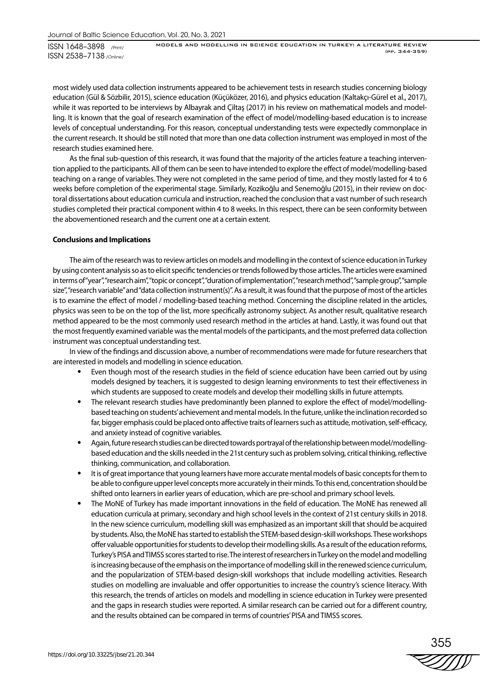ISSN 1648–3898 /Print/ ISSN 2538–7138 /Online/

MODELS AND MODELLING IN SCIENCE EDUCATION IN TURKEY: A LITERATURE REVIEW (pp. 344-359)

most widely used data collection instruments appeared to be achievement tests in research studies concerning biology education (Gül & Sözbilir, 2015), science education (Küçüközer, 2016), and physics education (Kaltakçı-Gürel et al., 2017), while it was reported to be interviews by Albayrak and Çiltaş (2017) in his review on mathematical models and modelling. It is known that the goal of research examination of the effect of model/modelling-based education is to increase levels of conceptual understanding. For this reason, conceptual understanding tests were expectedly commonplace in the current research. It should be still noted that more than one data collection instrument was employed in most of the research studies examined here.

As the final sub-question of this research, it was found that the majority of the articles feature a teaching intervention applied to the participants. All of them can be seen to have intended to explore the effect of model/modelling-based teaching on a range of variables. They were not completed in the same period of time, and they mostly lasted for 4 to 6 weeks before completion of the experimental stage. Similarly, Kozikoğlu and Senemoğlu (2015), in their review on doctoral dissertations about education curricula and instruction, reached the conclusion that a vast number of such research studies completed their practical component within 4 to 8 weeks. In this respect, there can be seen conformity between the abovementioned research and the current one at a certain extent.

#### **Conclusions and Implications**

The aim of the research was to review articles on models and modelling in the context of science education in Turkey by using content analysis so as to elicit specific tendencies or trends followed by those articles. The articles were examined in terms of "year", "research aim", "topic or concept", "duration of implementation", "research method", "sample group", "sample size", "research variable" and "data collection instrument(s)". As a result, it was found that the purpose of most of the articles is to examine the effect of model / modelling-based teaching method. Concerning the discipline related in the articles, physics was seen to be on the top of the list, more specifically astronomy subject. As another result, qualitative research method appeared to be the most commonly used research method in the articles at hand. Lastly, it was found out that the most frequently examined variable was the mental models of the participants, and the most preferred data collection instrument was conceptual understanding test.

In view of the findings and discussion above, a number of recommendations were made for future researchers that are interested in models and modelling in science education.

- Even though most of the research studies in the field of science education have been carried out by using models designed by teachers, it is suggested to design learning environments to test their effectiveness in which students are supposed to create models and develop their modelling skills in future attempts.
- The relevant research studies have predominantly been planned to explore the effect of model/modellingbased teaching on students' achievement and mental models. In the future, unlike the inclination recorded so far, bigger emphasis could be placed onto affective traits of learners such as attitude, motivation, self-efficacy, and anxiety instead of cognitive variables.
- Again, future research studies can be directed towards portrayal of the relationship between model/modellingbased education and the skills needed in the 21st century such as problem solving, critical thinking, reflective thinking, communication, and collaboration.
- It is of great importance that young learners have more accurate mental models of basic concepts for them to be able to configure upper level concepts more accurately in their minds. To this end, concentration should be shifted onto learners in earlier years of education, which are pre-school and primary school levels.
- The MoNE of Turkey has made important innovations in the field of education. The MoNE has renewed all education curricula at primary, secondary and high school levels in the context of 21st century skills in 2018. In the new science curriculum, modelling skill was emphasized as an important skill that should be acquired by students. Also, the MoNE has started to establish the STEM-based design-skill workshops. These workshops offer valuable opportunities for students to develop their modelling skills. As a result of the education reforms, Turkey's PISA and TIMSS scores started to rise. The interest of researchers in Turkey on the model and modelling is increasing because of the emphasis on the importance of modelling skill in the renewed science curriculum, and the popularization of STEM-based design-skill workshops that include modelling activities. Research studies on modelling are invaluable and offer opportunities to increase the country's science literacy. With this research, the trends of articles on models and modelling in science education in Turkey were presented and the gaps in research studies were reported. A similar research can be carried out for a different country, and the results obtained can be compared in terms of countries' PISA and TIMSS scores.

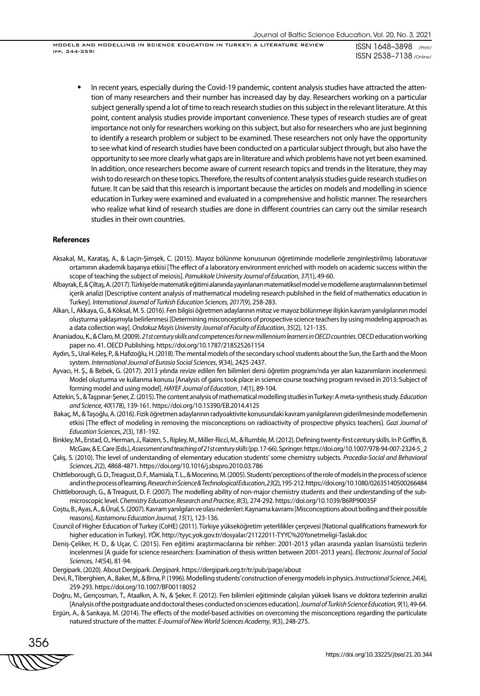ISSN 1648–3898 /Print/ ISSN 2538–7138 /Online/

MODELS AND MODELLING IN SCIENCE EDUCATION IN TURKEY: A LITERATURE REVIEW (pp. 344-359)

• In recent years, especially during the Covid-19 pandemic, content analysis studies have attracted the attention of many researchers and their number has increased day by day. Researchers working on a particular subject generally spend a lot of time to reach research studies on this subject in the relevant literature. At this point, content analysis studies provide important convenience. These types of research studies are of great importance not only for researchers working on this subject, but also for researchers who are just beginning to identify a research problem or subject to be examined. These researchers not only have the opportunity to see what kind of research studies have been conducted on a particular subject through, but also have the opportunity to see more clearly what gaps are in literature and which problems have not yet been examined. In addition, once researchers become aware of current research topics and trends in the literature, they may wish to do research on these topics. Therefore, the results of content analysis studies guide research studies on future. It can be said that this research is important because the articles on models and modelling in science education in Turkey were examined and evaluated in a comprehensive and holistic manner. The researchers who realize what kind of research studies are done in different countries can carry out the similar research studies in their own countries.

#### **References**

- Aksakal, M., Karataş, A., & Laçin-Şimşek, C. (2015). Mayoz bölünme konusunun öğretiminde modellerle zenginleştirilmiş laboratuvar ortamının akademik başarıya etkisi [The effect of a laboratory environment enriched with models on academic success within the scope of teaching the subject of meiosis]. *Pamukkale University Journal of Education*, *37*(1), 49-60.
- Albayrak, E, & Çiltaş, A. (2017). Türkiye'de matematik eğitimi alanında yayınlanan matematiksel model ve modelleme araştırmalarının betimsel içerik analizi [Descriptive content analysis of mathematical modeling research published in the field of mathematics education in Turkey]. *International Journal of Turkish Education Sciences, 2017*(9), 258-283.
- Alkan, İ., Akkaya, G., & Köksal, M. S. (2016). Fen bilgisi öğretmen adaylarının mitoz ve mayoz bölünmeye ilişkin kavram yanılgılarının model oluşturma yaklaşımıyla belirlenmesi [Determining misconceptions of prospective science teachers by using modeling approach as a data collection way]. *Ondokuz Mayis University Journal of Faculty of Education*, *35*(2), 121-135.
- Ananiadou, K., & Claro, M. (2009). *21st century skills and competences for new millennium learners in OECD countries*. OECD education working paper no. 41. OECD Publishing. https://doi.org/10.1787/218525261154
- Aydın, S., Ural-Keleş, P., & Hafızoğlu, H. (2018). The mental models of the secondary school students about the Sun, the Earth and the Moon system. *International Journal of Eurasia Social Sciences*, *9*(34), 2425-2437.
- Ayvacı, H. Ş., & Bebek, G. (2017). 2013 yılında revize edilen fen bilimleri dersi öğretim programı'nda yer alan kazanımların incelenmesi: Model oluşturma ve kullanma konusu [Analysis of gains took place in science course teaching program revised in 2013: Subject of forming model and using model]. *HAYEF Journal of Education*, *14*(1), 89-104.
- Aztekin, S., & Taşpınar-Şener, Z. (2015). The content analysis of mathematical modelling studies in Turkey: A meta-synthesis study. *Education and Science, 40*(178), 139-161. https://doi.org/10.15390/EB.2014.4125
- Bakaç, M., & Taşoğlu, A. (2016). Fizik öğretmen adaylarının radyoaktivite konusundaki kavram yanılgılarının giderilmesinde modellemenin etkisi [The effect of modeling in removing the misconceptions on radioactivity of prospective physics teachers]. *Gazi Journal of Education Sciences*, *2*(3), 181-192.
- Binkley, M., Erstad, O., Herman, J., Raizen, S., Ripley, M., Miller-Ricci, M., & Rumble, M. (2012). Defining twenty-first century skills. In P. Griffin, B. McGaw, & E. Care (Eds.), *Assessment and teaching of 21st century skills* (pp. 17-66). Springer. https://doi.org/10.1007/978-94-007-2324-5\_2
- Çalış, S. (2010). The level of understanding of elementary education students' some chemistry subjects. *Procedia-Social and Behavioral Sciences, 2*(2), 4868-4871. https://doi.org/10.1016/j.sbspro.2010.03.786
- Chittleborough, G. D., Treagust, D. F., Mamiala, T. L., & Mocerino, M. (2005). Students' perceptions of the role of models in the process of science and in the process of learning. *Research in Science & Technological Education*, *23*(2), 195-212. https://doi.org/10.1080/02635140500266484
- Chittleborough, G., & Treagust, D. F. (2007). The modelling ability of non-major chemistry students and their understanding of the submicroscopic level. *Chemistry Education Research and Practice*, *8*(3), 274-292. https://doi.org/10.1039/B6RP90035F
- Coştu, B., Ayas, A., & Ünal, S. (2007). Kavram yanılgıları ve olası nedenleri: Kaynama kavramı [Misconceptions about boiling and their possible reasons]. *Kastamonu Education Journal, 15*(1), 123-136.
- Council of Higher Education of Turkey (CoHE) (2011). Türkiye yükseköğretim yeterlilikler çerçevesi [National qualifications framework for higher education in Turkey]. *YÖK*. http://tyyc.yok.gov.tr/dosyalar/21122011-TYYC%20Yonetmeligi-Taslak.doc
- Deniş-Çeliker, H. D., & Uçar, C. (2015). Fen eğitimi araştırmacılarına bir rehber: 2001-2013 yılları arasında yazılan lisansüstü tezlerin incelenmesi [A guide for science researchers: Examination of thesis written between 2001-2013 years]. *Electronic Journal of Social Sciences, 14*(54), 81-94.
- Dergipark. (2020). About Dergipark. *Dergipark*. https://dergipark.org.tr/tr/pub/page/about
- Devi, R., Tiberghien, A., Baker, M., & Brna, P. (1996). Modelling students' construction of energy models in physics. *Instructional Science, 24*(4), 259-293. https://doi.org/10.1007/BF00118052
- Doğru, M., Gençosman, T., Ataalkın, A. N., & Şeker, F. (2012). Fen bilimleri eğitiminde çalışılan yüksek lisans ve doktora tezlerinin analizi [Analysis of the postgraduate and doctoral theses conducted on sciences education]. *Journal of Turkish Science Education, 9*(1), 49-64.
- Ergün, A., & Sarıkaya, M. (2014). The effects of the model-based activities on overcoming the misconceptions regarding the particulate natured structure of the matter. *E-Journal of New World Sciences Academy*, *9*(3), 248-275.

356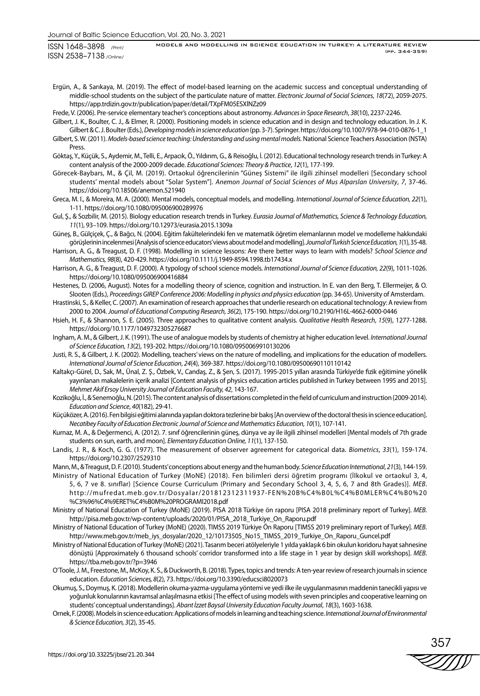Ergün, A., & Sarıkaya, M. (2019). The effect of model-based learning on the academic success and conceptual understanding of middle-school students on the subject of the particulate nature of matter. *Electronic Journal of Social Sciences*, *18*(72), 2059-2075. https://app.trdizin.gov.tr/publication/paper/detail/TXpFM05ESXlNZz09

Frede, V. (2006). Pre-service elementary teacher's conceptions about astronomy. *Advances in Space Research*, *38*(10), 2237-2246.

- Gilbert, J. K., Boulter, C. J., & Elmer, R. (2000). Positioning models in science education and in design and technology education. In J. K. Gilbert & C. J. Boulter (Eds.), *Developing models in science education* (pp. 3-7). Springer. https://doi.org/10.1007/978-94-010-0876-1\_1
- Gilbert, S. W. (2011). *Models-based science teaching: Understanding and using mental models.* National Science Teachers Association (NSTA) Press.
- Göktaş, Y., Küçük, S., Aydemir, M., Telli, E., Arpacık, Ö., Yıldırım, G., & Reisoğlu, İ. (2012). Educational technology research trends in Turkey: A content analysis of the 2000-2009 decade. *Educational Sciences: Theory & Practice*, *12*(1), 177-199.
- Görecek-Baybars, M., & Çil, M. (2019). Ortaokul öğrencilerinin "Güneş Sistemi" ile ilgili zihinsel modelleri [Secondary school students' mental models about "Solar System"]. *Anemon Journal of Social Sciences of Mus Alparslan University*, *7*, 37-46. https://doi.org/10.18506/anemon.521940
- Greca, M. I., & Moreira, M. A. (2000). Mental models, conceptual models, and modelling. *International Journal of Science Education, 22*(1), 1-11. https://doi.org/10.1080/095006900289976
- Gul, Ş., & Sozbilir, M. (2015). Biology education research trends in Turkey. *Eurasia Journal of Mathematics, Science & Technology Education, 11*(1), 93–109. https://doi.org/10.12973/eurasia.2015.1309a
- Güneş, B., Gülçiçek, Ç., & Bağcı, N. (2004). Eğitim fakültelerindeki fen ve matematik öğretim elemanlarının model ve modelleme hakkındaki görüşlerinin incelenmesi [Analysis of science educators' views about model and modelling]. *Journal of Turkish Science Education, 1*(1), 35-48.

Harrison, A. G., & Treagust, D. F. (1998). Modelling in science lessons: Are there better ways to learn with models? *School Science and Mathematics, 98*(8), 420-429. https://doi.org/10.1111/j.1949-8594.1998.tb17434.x

- Harrison, A. G., & Treagust, D. F. (2000). A typology of school science models. *International Journal of Science Education, 22*(9), 1011-1026. https://doi.org/10.1080/095006900416884
- Hestenes, D. (2006, August). Notes for a modelling theory of science, cognition and instruction. In E. van den Berg, T. Ellermeijer, & O. Slooten (Eds.), *Proceedings GIREP Conference 2006: Modelling in physics and physics education* (pp. 34-65). University of Amsterdam.
- Hrastinski, S., & Keller, C. (2007). An examination of research approaches that underlie research on educational technology: A review from 2000 to 2004. *Journal of Educational Computing Research, 36*(2), 175-190. https://doi.org/10.2190/H16L-4662-6000-0446
- Hsieh, H. F., & Shannon, S. E. (2005). Three approaches to qualitative content analysis. *Qualitative Health Research*, *15*(9), 1277-1288. https://doi.org/10.1177/1049732305276687
- Ingham, A. M., & Gilbert, J. K. (1991). The use of analogue models by students of chemistry at higher education level. *International Journal of Science Education, 13*(2), 193-202. https://doi.org/10.1080/0950069910130206
- Justi, R. S., & Gilbert, J. K. (2002). Modelling, teachers' views on the nature of modelling, and implications for the education of modellers. *International Journal of Science Education*, *24*(4), 369-387. https://doi.org/10.1080/09500690110110142
- Kaltakçı-Gürel, D., Sak, M., Ünal, Z. Ş., Özbek, V., Candaş, Z., & Şen, S. (2017). 1995-2015 yılları arasında Türkiye'de fizik eğitimine yönelik yayınlanan makalelerin içerik analizi [Content analysis of physics education articles published in Turkey between 1995 and 2015]. *Mehmet Akif Ersoy University Journal of Education Faculty, 42*, 143-167.
- Kozikoğlu, İ., & Senemoğlu, N. (2015). The content analysis of dissertations completed in the field of curriculum and instruction (2009-2014). *Education and Science*, *40*(182), 29-41.
- Küçüközer, A. (2016). Fen bilgisi eğitimi alanında yapılan doktora tezlerine bir bakış [An overview of the doctoral thesis in science education]. *Necatibey Faculty of Education Electronic Journal of Science and Mathematics Education, 10*(1), 107-141.
- Kurnaz, M. A., & Değermenci, A. (2012). 7. sınıf öğrencilerinin güneş, dünya ve ay ile ilgili zihinsel modelleri [Mental models of 7th grade students on sun, earth, and moon]. *Elementary Education Online, 11*(1), 137-150.
- Landis, J. R., & Koch, G. G. (1977). The measurement of observer agreement for categorical data. *Biometrics*, *33*(1), 159-174. https://doi.org/10.2307/2529310
- Mann, M., & Treagust, D. F. (2010). Students' conceptions about energy and the human body. *Science Education International*, *21*(3), 144-159. Ministry of National Education of Turkey (MoNE) (2018). Fen bilimleri dersi öğretim programı (İlkokul ve ortaokul 3, 4,
- 5, 6, 7 ve 8. sınıflar) [Science Course Curriculum (Primary and Secondary School 3, 4, 5, 6, 7 and 8th Grades)]. *MEB*. http://mufredat.meb.gov.tr/Dosyalar/201812312311937-FEN%20B%C4%B0L%C4%B0MLER%C4%B0%20 %C3%96%C4%9ERET%C4%B0M%20PROGRAMI2018.pdf
- Ministry of National Education of Turkey (MoNE) (2019). PISA 2018 Türkiye ön raporu [PISA 2018 preliminary report of Turkey]. *MEB*. http://pisa.meb.gov.tr/wp-content/uploads/2020/01/PISA\_2018\_Turkiye\_On\_Raporu.pdf
- Ministry of National Education of Turkey (MoNE) (2020). TIMSS 2019 Türkiye Ön Raporu [TIMSS 2019 preliminary report of Turkey]. *MEB*. http://www.meb.gov.tr/meb\_iys\_dosyalar/2020\_12/10173505\_No15\_TIMSS\_2019\_Turkiye\_On\_Raporu\_Guncel.pdf
- Ministry of National Education of Turkey (MoNE) (2021). Tasarım beceri atölyeleriyle 1 yılda yaklaşık 6 bin okulun koridoru hayat sahnesine dönüştü [Approximately 6 thousand schools' corridor transformed into a life stage in 1 year by design skill workshops]. *MEB*. https://tba.meb.gov.tr/?p=3946
- O'Toole, J. M., Freestone, M., McKoy, K. S., & Duckworth, B. (2018). Types, topics and trends: A ten-year review of research journals in science education. *Education Sciences, 8*(2), 73. https://doi.org/10.3390/educsci8020073
- Okumuş, S., Doymuş, K. (2018). Modellerin okuma-yazma-uygulama yöntemi ve yedi ilke ile uygulanmasının maddenin tanecikli yapısı ve yoğunluk konularının kavramsal anlaşılmasına etkisi [The effect of using models with seven principles and cooperative learning on students' conceptual understandings]. *Abant İzzet Baysal University Education Faculty Journal*, *18*(3), 1603-1638.
- Ornek, F. (2008). Models in science education: Applications of models in learning and teaching science. *International Journal of Environmental & Science Education, 3*(2), 35-45.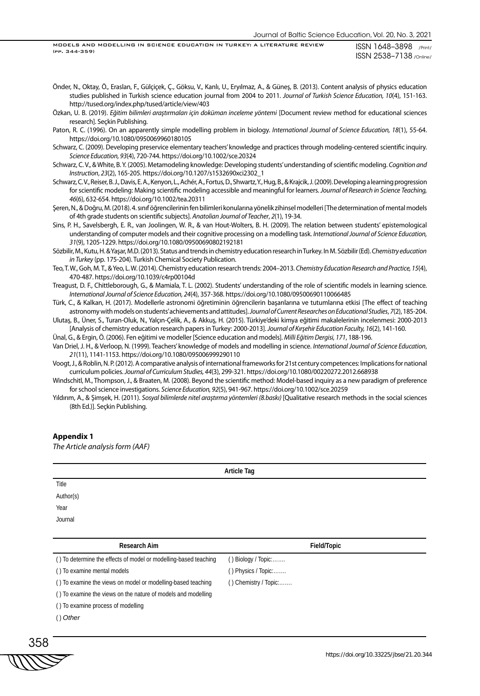Önder, N., Oktay, Ö., Eraslan, F., Gülçiçek, Ç., Göksu, V., Kanlı, U., Eryılmaz, A., & Güneş, B. (2013). Content analysis of physics education studies published in Turkish science education journal from 2004 to 2011. *Journal of Turkish Science Education, 10*(4), 151-163. http://tused.org/index.php/tused/article/view/403

Özkan, U. B. (2019). *Eğitim bilimleri araştırmaları için doküman inceleme yöntemi* [Document review method for educational sciences research]. Seçkin Publishing.

- Paton, R. C. (1996). On an apparently simple modelling problem in biology. *International Journal of Science Education, 18*(1), 55-64. https://doi.org/10.1080/0950069960180105
- Schwarz, C. (2009). Developing preservice elementary teachers' knowledge and practices through modeling-centered scientific inquiry. *Science Education, 93*(4), 720-744. https://doi.org/10.1002/sce.20324
- Schwarz, C. V., & White, B. Y. (2005). Metamodeling knowledge: Developing students' understanding of scientific modeling. *Cognition and Instruction*, *23*(2), 165-205. https://doi.org/10.1207/s1532690xci2302\_1
- Schwarz, C. V., Reiser, B. J., Davis, E. A., Kenyon, L., Achér, A., Fortus, D., Shwartz, Y., Hug, B., & Krajcik, J. (2009). Developing a learning progression for scientific modeling: Making scientific modeling accessible and meaningful for learners. *Journal of Research in Science Teaching, 46*(6), 632-654. https://doi.org/10.1002/tea.20311
- Şeren, N., & Doğru, M. (2018). 4. sınıf öğrencilerinin fen bilimleri konularına yönelik zihinsel modelleri [The determination of mental models of 4th grade students on scientific subjects]. *Anatolian Journal of Teacher*, *2*(1), 19-34.
- Sins, P. H., Savelsbergh, E. R., van Joolingen, W. R., & van Hout-Wolters, B. H. (2009). The relation between students' epistemological understanding of computer models and their cognitive processing on a modelling task. *International Journal of Science Education, 31*(9), 1205-1229. https://doi.org/10.1080/09500690802192181

Sözbilir, M., Kutu, H. & Yaşar, M.D. (2013). Status and trends in chemistry education research in Turkey. In M. Sözbilir (Ed). *Chemistry education in Turkey* (pp. 175-204). Turkish Chemical Society Publication.

Teo, T. W., Goh, M. T., & Yeo, L. W. (2014). Chemistry education research trends: 2004–2013. *Chemistry Education Research and Practice, 15*(4), 470-487. https://doi.org/10.1039/c4rp00104d

Treagust, D. F., Chittleborough, G., & Mamiala, T. L. (2002). Students' understanding of the role of scientific models in learning science. *International Journal of Science Education, 24*(4), 357-368. https://doi.org/10.1080/09500690110066485

Türk, C., & Kalkan, H. (2017). Modellerle astronomi öğretiminin öğrencilerin başarılarına ve tutumlarına etkisi [The effect of teaching astronomy with models on students' achievements and attitudes]. *Journal of Current Researches on Educational Studies*, *7*(2), 185-204.

Ulutaş, B., Üner, S., Turan-Oluk, N., Yalçın-Çelik, A., & Akkuş, H. (2015). Türkiye'deki kimya eğitimi makalelerinin incelenmesi: 2000-2013 [Analysis of chemistry education research papers in Turkey: 2000-2013]. *Journal of Kırşehir Education Faculty, 16*(2), 141-160.

Ünal, G., & Ergin, Ö. (2006). Fen eğitimi ve modeller [Science education and models]. *Milli Eğitim Dergisi, 171*, 188-196.

Van Driel, J. H., & Verloop, N. (1999). Teachers' knowledge of models and modelling in science. *International Journal of Science Education*, *21*(11), 1141-1153. https://doi.org/10.1080/095006999290110

Voogt, J., & Roblin, N. P. (2012). A comparative analysis of international frameworks for 21st century competences: Implications for national curriculum policies. *Journal of Curriculum Studies, 44*(3), 299-321. https://doi.org/10.1080/00220272.2012.668938

Windschitl, M., Thompson, J., & Braaten, M. (2008). Beyond the scientific method: Model-based inquiry as a new paradigm of preference for school science investigations. *Science Education, 92*(5), 941-967. https://doi.org/10.1002/sce.20259

Yıldırım, A., & Şimşek, H. (2011). *Sosyal bilimlerde nitel araştırma yöntemleri (8.baskı)* [Qualitative research methods in the social sciences (8th Ed.)]. Seçkin Publishing.

#### **Appendix 1**

*The Article analysis form (AAF)*

|                   | Article Tag |  |
|-------------------|-------------|--|
| Title             |             |  |
| Author(s)<br>Year |             |  |
|                   |             |  |
| Journal           |             |  |
|                   |             |  |

| Research Aim                                                     | Field/Topic              |
|------------------------------------------------------------------|--------------------------|
| () To determine the effects of model or modelling-based teaching | () Biology / Topic:      |
| () To examine mental models                                      | () Physics / Topic:      |
| () To examine the views on model or modelling-based teaching     | $( )$ Chemistry / Topic: |
| () To examine the views on the nature of models and modelling    |                          |
| () To examine process of modelling                               |                          |
| $()$ Other                                                       |                          |